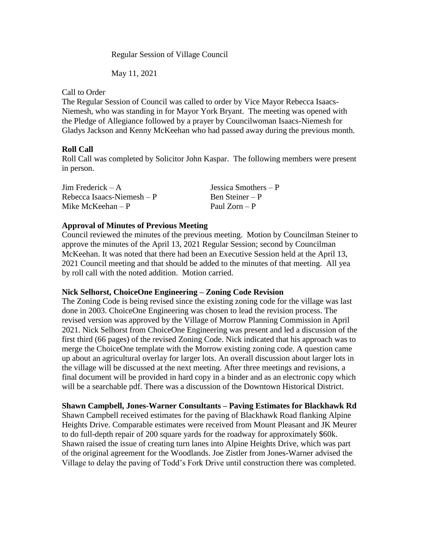Regular Session of Village Council

May 11, 2021

### Call to Order

The Regular Session of Council was called to order by Vice Mayor Rebecca Isaacs-Niemesh, who was standing in for Mayor York Bryant. The meeting was opened with the Pledge of Allegiance followed by a prayer by Councilwoman Isaacs-Niemesh for Gladys Jackson and Kenny McKeehan who had passed away during the previous month.

## **Roll Call**

Roll Call was completed by Solicitor John Kaspar. The following members were present in person.

| Jim Frederick $-A$          | Jessica Smothers $-P$ |
|-----------------------------|-----------------------|
| Rebecca Isaacs-Niemesh $-P$ | Ben Steiner – P       |
| Mike McKeehan $-P$          | Paul $Zorn - P$       |

## **Approval of Minutes of Previous Meeting**

Council reviewed the minutes of the previous meeting. Motion by Councilman Steiner to approve the minutes of the April 13, 2021 Regular Session; second by Councilman McKeehan. It was noted that there had been an Executive Session held at the April 13, 2021 Council meeting and that should be added to the minutes of that meeting. All yea by roll call with the noted addition. Motion carried.

## **Nick Selhorst, ChoiceOne Engineering – Zoning Code Revision**

The Zoning Code is being revised since the existing zoning code for the village was last done in 2003. ChoiceOne Engineering was chosen to lead the revision process. The revised version was approved by the Village of Morrow Planning Commission in April 2021. Nick Selhorst from ChoiceOne Engineering was present and led a discussion of the first third (66 pages) of the revised Zoning Code. Nick indicated that his approach was to merge the ChoiceOne template with the Morrow existing zoning code. A question came up about an agricultural overlay for larger lots. An overall discussion about larger lots in the village will be discussed at the next meeting. After three meetings and revisions, a final document will be provided in hard copy in a binder and as an electronic copy which will be a searchable pdf. There was a discussion of the Downtown Historical District.

## **Shawn Campbell, Jones-Warner Consultants – Paving Estimates for Blackhawk Rd**

Shawn Campbell received estimates for the paving of Blackhawk Road flanking Alpine Heights Drive. Comparable estimates were received from Mount Pleasant and JK Meurer to do full-depth repair of 200 square yards for the roadway for approximately \$60k. Shawn raised the issue of creating turn lanes into Alpine Heights Drive, which was part of the original agreement for the Woodlands. Joe Zistler from Jones-Warner advised the Village to delay the paving of Todd's Fork Drive until construction there was completed.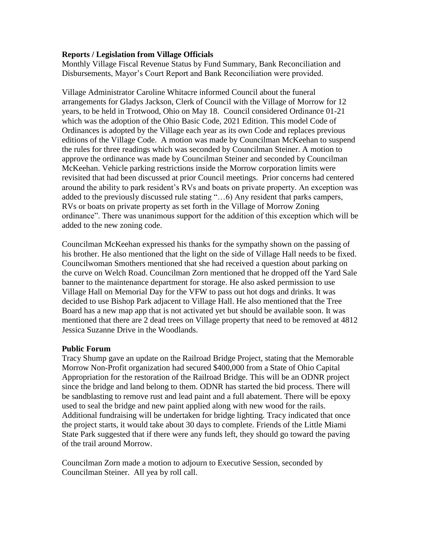## **Reports / Legislation from Village Officials**

Monthly Village Fiscal Revenue Status by Fund Summary, Bank Reconciliation and Disbursements, Mayor's Court Report and Bank Reconciliation were provided.

Village Administrator Caroline Whitacre informed Council about the funeral arrangements for Gladys Jackson, Clerk of Council with the Village of Morrow for 12 years, to be held in Trotwood, Ohio on May 18. Council considered Ordinance 01-21 which was the adoption of the Ohio Basic Code, 2021 Edition. This model Code of Ordinances is adopted by the Village each year as its own Code and replaces previous editions of the Village Code. A motion was made by Councilman McKeehan to suspend the rules for three readings which was seconded by Councilman Steiner. A motion to approve the ordinance was made by Councilman Steiner and seconded by Councilman McKeehan. Vehicle parking restrictions inside the Morrow corporation limits were revisited that had been discussed at prior Council meetings. Prior concerns had centered around the ability to park resident's RVs and boats on private property. An exception was added to the previously discussed rule stating "…6) Any resident that parks campers, RVs or boats on private property as set forth in the Village of Morrow Zoning ordinance". There was unanimous support for the addition of this exception which will be added to the new zoning code.

Councilman McKeehan expressed his thanks for the sympathy shown on the passing of his brother. He also mentioned that the light on the side of Village Hall needs to be fixed. Councilwoman Smothers mentioned that she had received a question about parking on the curve on Welch Road. Councilman Zorn mentioned that he dropped off the Yard Sale banner to the maintenance department for storage. He also asked permission to use Village Hall on Memorial Day for the VFW to pass out hot dogs and drinks. It was decided to use Bishop Park adjacent to Village Hall. He also mentioned that the Tree Board has a new map app that is not activated yet but should be available soon. It was mentioned that there are 2 dead trees on Village property that need to be removed at 4812 Jessica Suzanne Drive in the Woodlands.

## **Public Forum**

Tracy Shump gave an update on the Railroad Bridge Project, stating that the Memorable Morrow Non-Profit organization had secured \$400,000 from a State of Ohio Capital Appropriation for the restoration of the Railroad Bridge. This will be an ODNR project since the bridge and land belong to them. ODNR has started the bid process. There will be sandblasting to remove rust and lead paint and a full abatement. There will be epoxy used to seal the bridge and new paint applied along with new wood for the rails. Additional fundraising will be undertaken for bridge lighting. Tracy indicated that once the project starts, it would take about 30 days to complete. Friends of the Little Miami State Park suggested that if there were any funds left, they should go toward the paving of the trail around Morrow.

Councilman Zorn made a motion to adjourn to Executive Session, seconded by Councilman Steiner. All yea by roll call.